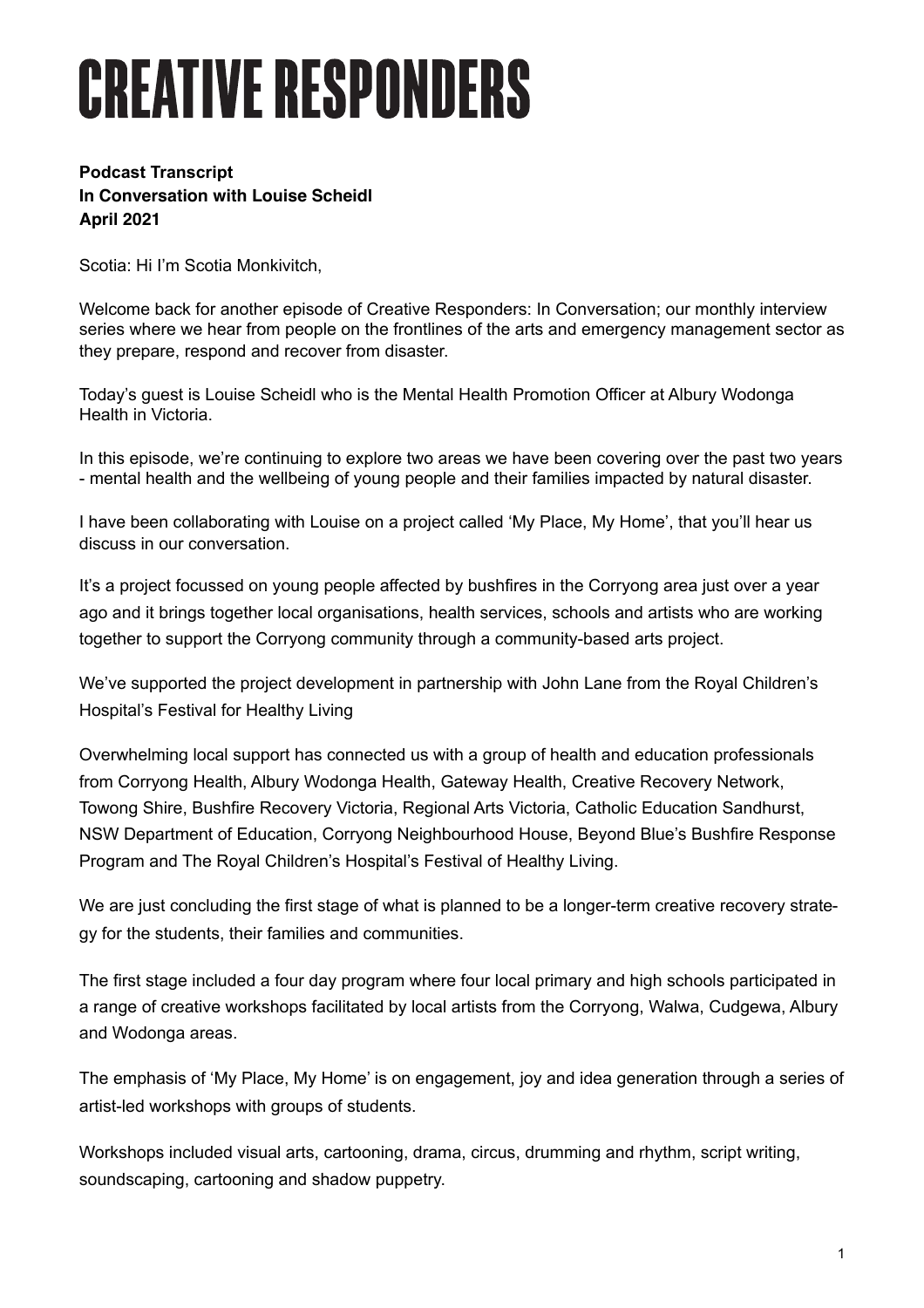## **CREATIVE RESPONDERS**

## **Podcast Transcript In Conversation with Louise Scheidl April 2021**

Scotia: Hi I'm Scotia Monkivitch,

Welcome back for another episode of Creative Responders: In Conversation; our monthly interview series where we hear from people on the frontlines of the arts and emergency management sector as they prepare, respond and recover from disaster.

Today's guest is Louise Scheidl who is the Mental Health Promotion Officer at Albury Wodonga Health in Victoria.

In this episode, we're continuing to explore two areas we have been covering over the past two years - mental health and the wellbeing of young people and their families impacted by natural disaster.

I have been collaborating with Louise on a project called 'My Place, My Home', that you'll hear us discuss in our conversation.

It's a project focussed on young people affected by bushfires in the Corryong area just over a year ago and it brings together local organisations, health services, schools and artists who are working together to support the Corryong community through a community-based arts project.

We've supported the project development in partnership with John Lane from the Royal Children's Hospital's Festival for Healthy Living

Overwhelming local support has connected us with a group of health and education professionals from Corryong Health, Albury Wodonga Health, Gateway Health, Creative Recovery Network, Towong Shire, Bushfire Recovery Victoria, Regional Arts Victoria, Catholic Education Sandhurst, NSW Department of Education, Corryong Neighbourhood House, Beyond Blue's Bushfire Response Program and The Royal Children's Hospital's Festival of Healthy Living.

We are just concluding the first stage of what is planned to be a longer-term creative recovery strategy for the students, their families and communities.

The first stage included a four day program where four local primary and high schools participated in a range of creative workshops facilitated by local artists from the Corryong, Walwa, Cudgewa, Albury and Wodonga areas.

The emphasis of 'My Place, My Home' is on engagement, joy and idea generation through a series of artist-led workshops with groups of students.

Workshops included visual arts, cartooning, drama, circus, drumming and rhythm, script writing, soundscaping, cartooning and shadow puppetry.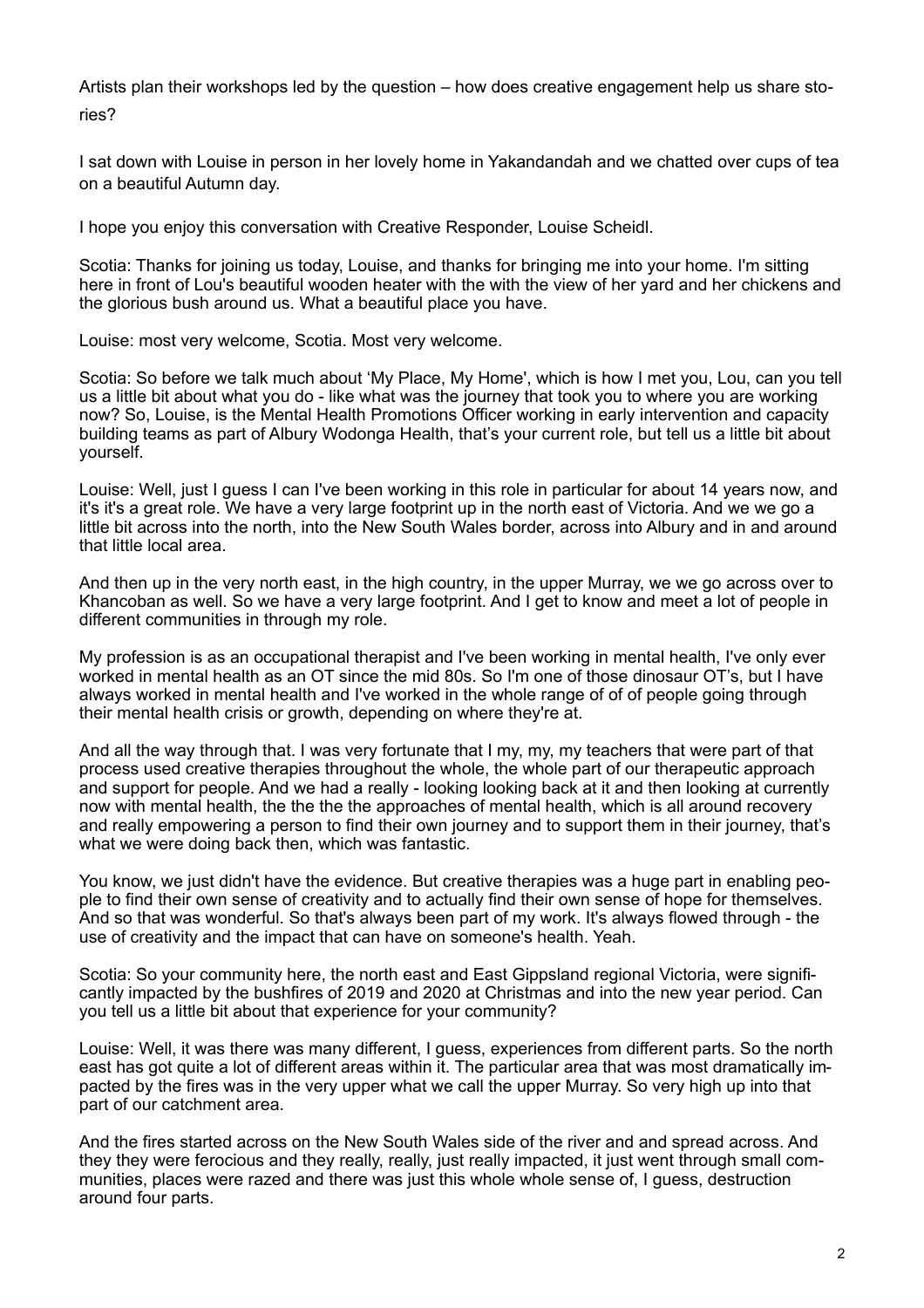Artists plan their workshops led by the question – how does creative engagement help us share stories?

I sat down with Louise in person in her lovely home in Yakandandah and we chatted over cups of tea on a beautiful Autumn day.

I hope you enjoy this conversation with Creative Responder, Louise Scheidl.

Scotia: Thanks for joining us today, Louise, and thanks for bringing me into your home. I'm sitting here in front of Lou's beautiful wooden heater with the with the view of her yard and her chickens and the glorious bush around us. What a beautiful place you have.

Louise: most very welcome, Scotia. Most very welcome.

Scotia: So before we talk much about 'My Place, My Home', which is how I met you, Lou, can you tell us a little bit about what you do - like what was the journey that took you to where you are working now? So, Louise, is the Mental Health Promotions Officer working in early intervention and capacity building teams as part of Albury Wodonga Health, that's your current role, but tell us a little bit about yourself.

Louise: Well, just I guess I can I've been working in this role in particular for about 14 years now, and it's it's a great role. We have a very large footprint up in the north east of Victoria. And we we go a little bit across into the north, into the New South Wales border, across into Albury and in and around that little local area.

And then up in the very north east, in the high country, in the upper Murray, we we go across over to Khancoban as well. So we have a very large footprint. And I get to know and meet a lot of people in different communities in through my role.

My profession is as an occupational therapist and I've been working in mental health, I've only ever worked in mental health as an OT since the mid 80s. So I'm one of those dinosaur OT's, but I have always worked in mental health and I've worked in the whole range of of of people going through their mental health crisis or growth, depending on where they're at.

And all the way through that. I was very fortunate that I my, my, my teachers that were part of that process used creative therapies throughout the whole, the whole part of our therapeutic approach and support for people. And we had a really - looking looking back at it and then looking at currently now with mental health, the the the the approaches of mental health, which is all around recovery and really empowering a person to find their own journey and to support them in their journey, that's what we were doing back then, which was fantastic.

You know, we just didn't have the evidence. But creative therapies was a huge part in enabling people to find their own sense of creativity and to actually find their own sense of hope for themselves. And so that was wonderful. So that's always been part of my work. It's always flowed through - the use of creativity and the impact that can have on someone's health. Yeah.

Scotia: So your community here, the north east and East Gippsland regional Victoria, were significantly impacted by the bushfires of 2019 and 2020 at Christmas and into the new year period. Can you tell us a little bit about that experience for your community?

Louise: Well, it was there was many different, I guess, experiences from different parts. So the north east has got quite a lot of different areas within it. The particular area that was most dramatically impacted by the fires was in the very upper what we call the upper Murray. So very high up into that part of our catchment area.

And the fires started across on the New South Wales side of the river and and spread across. And they they were ferocious and they really, really, just really impacted, it just went through small communities, places were razed and there was just this whole whole sense of, I guess, destruction around four parts.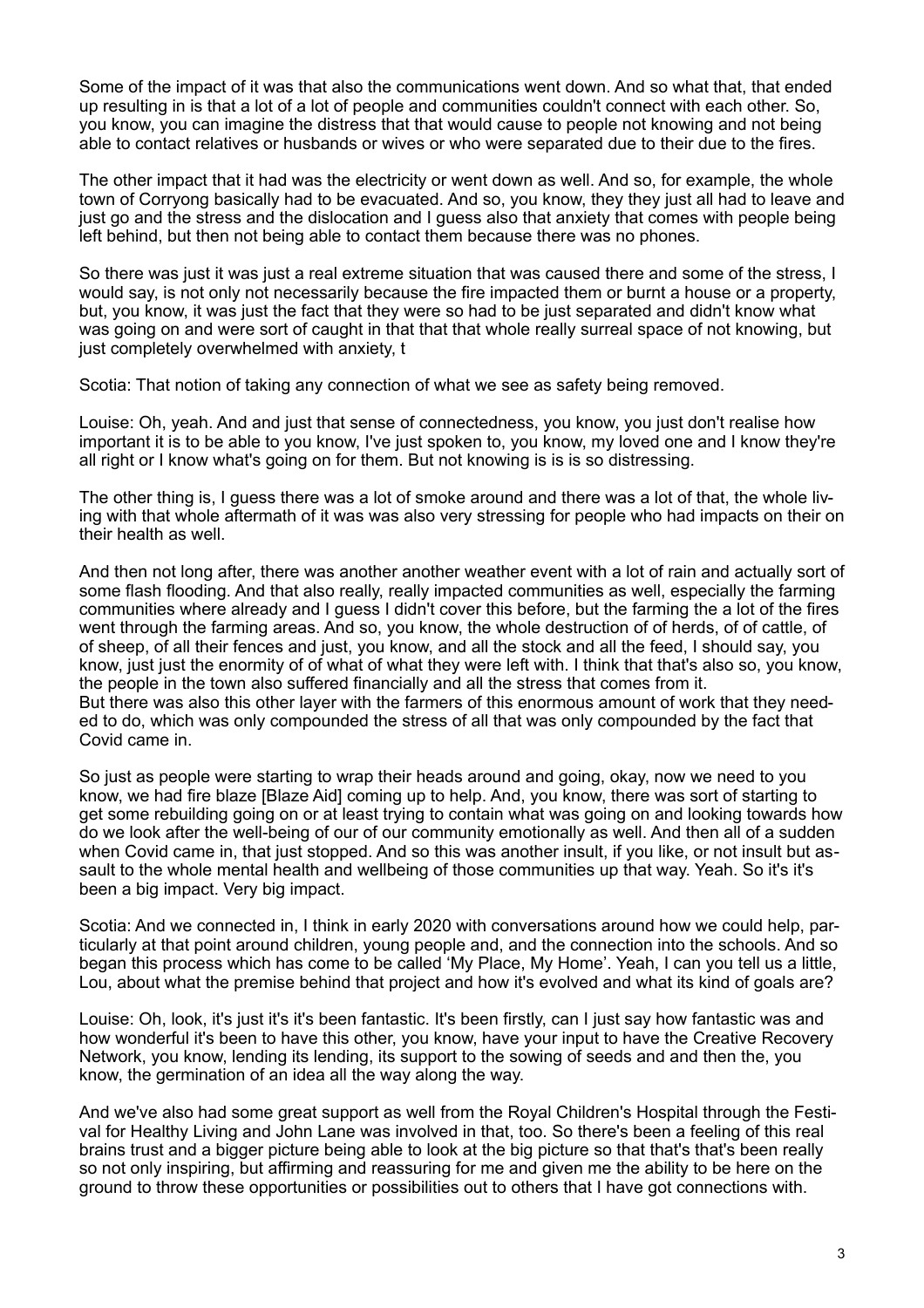Some of the impact of it was that also the communications went down. And so what that, that ended up resulting in is that a lot of a lot of people and communities couldn't connect with each other. So, you know, you can imagine the distress that that would cause to people not knowing and not being able to contact relatives or husbands or wives or who were separated due to their due to the fires.

The other impact that it had was the electricity or went down as well. And so, for example, the whole town of Corryong basically had to be evacuated. And so, you know, they they just all had to leave and just go and the stress and the dislocation and I guess also that anxiety that comes with people being left behind, but then not being able to contact them because there was no phones.

So there was just it was just a real extreme situation that was caused there and some of the stress, I would say, is not only not necessarily because the fire impacted them or burnt a house or a property, but, you know, it was just the fact that they were so had to be just separated and didn't know what was going on and were sort of caught in that that that whole really surreal space of not knowing, but just completely overwhelmed with anxiety, t

Scotia: That notion of taking any connection of what we see as safety being removed.

Louise: Oh, yeah. And and just that sense of connectedness, you know, you just don't realise how important it is to be able to you know, I've just spoken to, you know, my loved one and I know they're all right or I know what's going on for them. But not knowing is is is so distressing.

The other thing is, I guess there was a lot of smoke around and there was a lot of that, the whole living with that whole aftermath of it was was also very stressing for people who had impacts on their on their health as well.

And then not long after, there was another another weather event with a lot of rain and actually sort of some flash flooding. And that also really, really impacted communities as well, especially the farming communities where already and I guess I didn't cover this before, but the farming the a lot of the fires went through the farming areas. And so, you know, the whole destruction of of herds, of of cattle, of of sheep, of all their fences and just, you know, and all the stock and all the feed, I should say, you know, just just the enormity of of what of what they were left with. I think that that's also so, you know, the people in the town also suffered financially and all the stress that comes from it. But there was also this other layer with the farmers of this enormous amount of work that they needed to do, which was only compounded the stress of all that was only compounded by the fact that Covid came in.

So just as people were starting to wrap their heads around and going, okay, now we need to you know, we had fire blaze [Blaze Aid] coming up to help. And, you know, there was sort of starting to get some rebuilding going on or at least trying to contain what was going on and looking towards how do we look after the well-being of our of our community emotionally as well. And then all of a sudden when Covid came in, that just stopped. And so this was another insult, if you like, or not insult but assault to the whole mental health and wellbeing of those communities up that way. Yeah. So it's it's been a big impact. Very big impact.

Scotia: And we connected in, I think in early 2020 with conversations around how we could help, particularly at that point around children, young people and, and the connection into the schools. And so began this process which has come to be called 'My Place, My Home'. Yeah, I can you tell us a little, Lou, about what the premise behind that project and how it's evolved and what its kind of goals are?

Louise: Oh, look, it's just it's it's been fantastic. It's been firstly, can I just say how fantastic was and how wonderful it's been to have this other, you know, have your input to have the Creative Recovery Network, you know, lending its lending, its support to the sowing of seeds and and then the, you know, the germination of an idea all the way along the way.

And we've also had some great support as well from the Royal Children's Hospital through the Festival for Healthy Living and John Lane was involved in that, too. So there's been a feeling of this real brains trust and a bigger picture being able to look at the big picture so that that's that's been really so not only inspiring, but affirming and reassuring for me and given me the ability to be here on the ground to throw these opportunities or possibilities out to others that I have got connections with.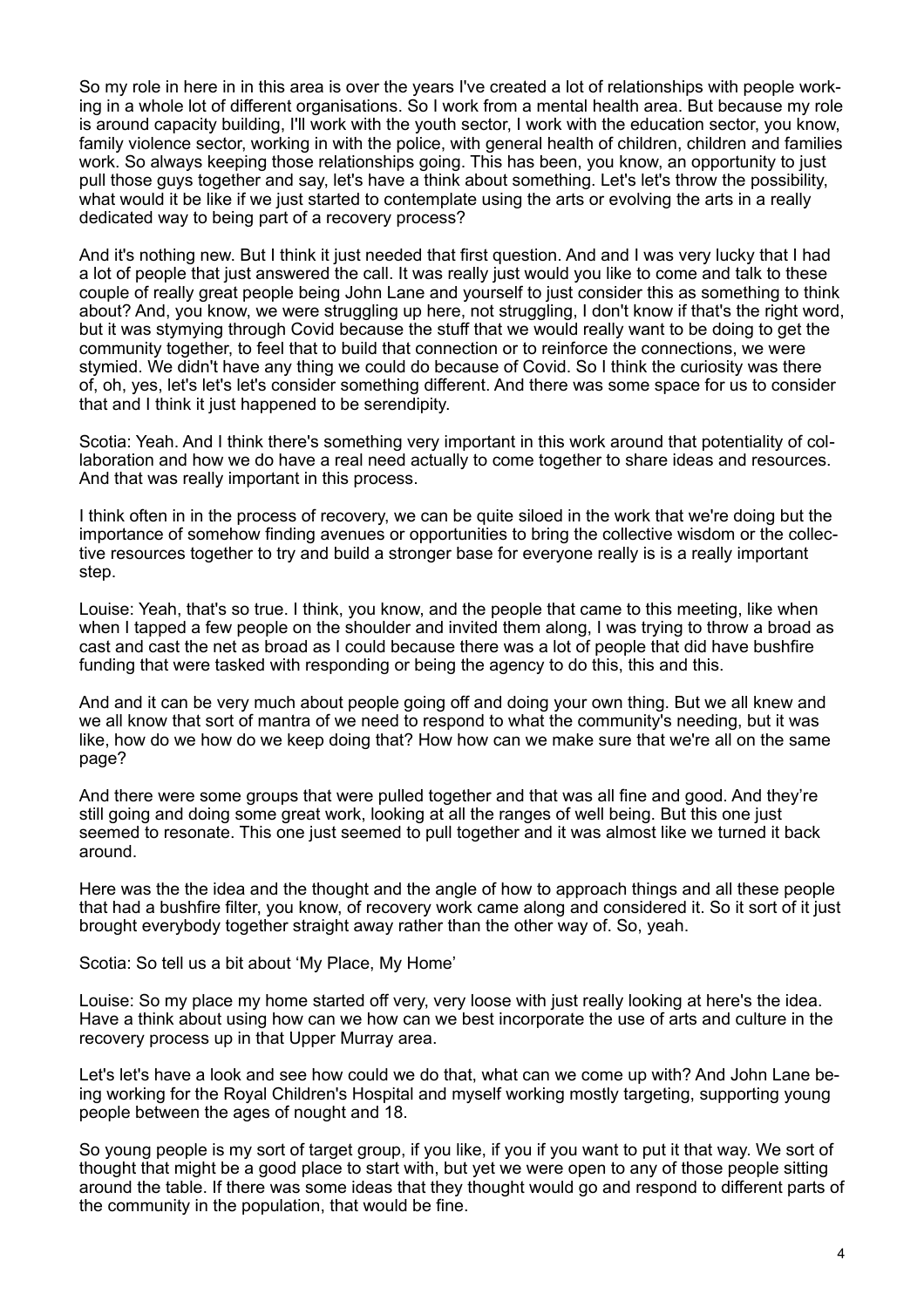So my role in here in in this area is over the years I've created a lot of relationships with people working in a whole lot of different organisations. So I work from a mental health area. But because my role is around capacity building, I'll work with the youth sector, I work with the education sector, you know, family violence sector, working in with the police, with general health of children, children and families work. So always keeping those relationships going. This has been, you know, an opportunity to just pull those guys together and say, let's have a think about something. Let's let's throw the possibility, what would it be like if we just started to contemplate using the arts or evolving the arts in a really dedicated way to being part of a recovery process?

And it's nothing new. But I think it just needed that first question. And and I was very lucky that I had a lot of people that just answered the call. It was really just would you like to come and talk to these couple of really great people being John Lane and yourself to just consider this as something to think about? And, you know, we were struggling up here, not struggling, I don't know if that's the right word, but it was stymying through Covid because the stuff that we would really want to be doing to get the community together, to feel that to build that connection or to reinforce the connections, we were stymied. We didn't have any thing we could do because of Covid. So I think the curiosity was there of, oh, yes, let's let's let's consider something different. And there was some space for us to consider that and I think it just happened to be serendipity.

Scotia: Yeah. And I think there's something very important in this work around that potentiality of collaboration and how we do have a real need actually to come together to share ideas and resources. And that was really important in this process.

I think often in in the process of recovery, we can be quite siloed in the work that we're doing but the importance of somehow finding avenues or opportunities to bring the collective wisdom or the collective resources together to try and build a stronger base for everyone really is is a really important step.

Louise: Yeah, that's so true. I think, you know, and the people that came to this meeting, like when when I tapped a few people on the shoulder and invited them along, I was trying to throw a broad as cast and cast the net as broad as I could because there was a lot of people that did have bushfire funding that were tasked with responding or being the agency to do this, this and this.

And and it can be very much about people going off and doing your own thing. But we all knew and we all know that sort of mantra of we need to respond to what the community's needing, but it was like, how do we how do we keep doing that? How how can we make sure that we're all on the same page?

And there were some groups that were pulled together and that was all fine and good. And they're still going and doing some great work, looking at all the ranges of well being. But this one just seemed to resonate. This one just seemed to pull together and it was almost like we turned it back around.

Here was the the idea and the thought and the angle of how to approach things and all these people that had a bushfire filter, you know, of recovery work came along and considered it. So it sort of it just brought everybody together straight away rather than the other way of. So, yeah.

Scotia: So tell us a bit about 'My Place, My Home'

Louise: So my place my home started off very, very loose with just really looking at here's the idea. Have a think about using how can we how can we best incorporate the use of arts and culture in the recovery process up in that Upper Murray area.

Let's let's have a look and see how could we do that, what can we come up with? And John Lane being working for the Royal Children's Hospital and myself working mostly targeting, supporting young people between the ages of nought and 18.

So young people is my sort of target group, if you like, if you if you want to put it that way. We sort of thought that might be a good place to start with, but yet we were open to any of those people sitting around the table. If there was some ideas that they thought would go and respond to different parts of the community in the population, that would be fine.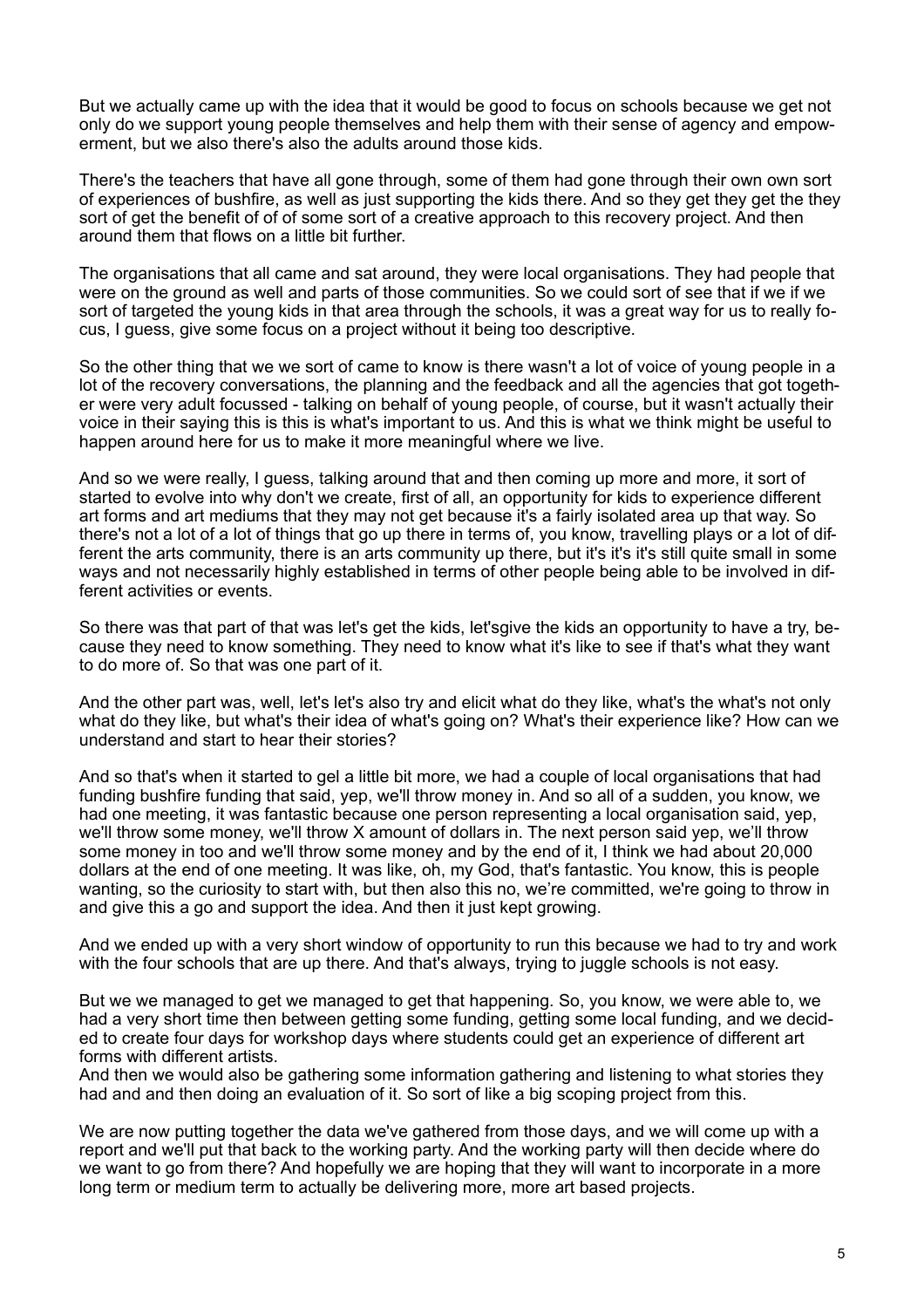But we actually came up with the idea that it would be good to focus on schools because we get not only do we support young people themselves and help them with their sense of agency and empowerment, but we also there's also the adults around those kids.

There's the teachers that have all gone through, some of them had gone through their own own sort of experiences of bushfire, as well as just supporting the kids there. And so they get they get the they sort of get the benefit of of of some sort of a creative approach to this recovery project. And then around them that flows on a little bit further.

The organisations that all came and sat around, they were local organisations. They had people that were on the ground as well and parts of those communities. So we could sort of see that if we if we sort of targeted the young kids in that area through the schools, it was a great way for us to really focus, I guess, give some focus on a project without it being too descriptive.

So the other thing that we we sort of came to know is there wasn't a lot of voice of young people in a lot of the recovery conversations, the planning and the feedback and all the agencies that got together were very adult focussed - talking on behalf of young people, of course, but it wasn't actually their voice in their saying this is this is what's important to us. And this is what we think might be useful to happen around here for us to make it more meaningful where we live.

And so we were really, I guess, talking around that and then coming up more and more, it sort of started to evolve into why don't we create, first of all, an opportunity for kids to experience different art forms and art mediums that they may not get because it's a fairly isolated area up that way. So there's not a lot of a lot of things that go up there in terms of, you know, travelling plays or a lot of different the arts community, there is an arts community up there, but it's it's it's still quite small in some ways and not necessarily highly established in terms of other people being able to be involved in different activities or events.

So there was that part of that was let's get the kids, let'sgive the kids an opportunity to have a try, because they need to know something. They need to know what it's like to see if that's what they want to do more of. So that was one part of it.

And the other part was, well, let's let's also try and elicit what do they like, what's the what's not only what do they like, but what's their idea of what's going on? What's their experience like? How can we understand and start to hear their stories?

And so that's when it started to gel a little bit more, we had a couple of local organisations that had funding bushfire funding that said, yep, we'll throw money in. And so all of a sudden, you know, we had one meeting, it was fantastic because one person representing a local organisation said, yep, we'll throw some money, we'll throw X amount of dollars in. The next person said yep, we'll throw some money in too and we'll throw some money and by the end of it, I think we had about 20,000 dollars at the end of one meeting. It was like, oh, my God, that's fantastic. You know, this is people wanting, so the curiosity to start with, but then also this no, we're committed, we're going to throw in and give this a go and support the idea. And then it just kept growing.

And we ended up with a very short window of opportunity to run this because we had to try and work with the four schools that are up there. And that's always, trying to juggle schools is not easy.

But we we managed to get we managed to get that happening. So, you know, we were able to, we had a very short time then between getting some funding, getting some local funding, and we decided to create four days for workshop days where students could get an experience of different art forms with different artists.

And then we would also be gathering some information gathering and listening to what stories they had and and then doing an evaluation of it. So sort of like a big scoping project from this.

We are now putting together the data we've gathered from those days, and we will come up with a report and we'll put that back to the working party. And the working party will then decide where do we want to go from there? And hopefully we are hoping that they will want to incorporate in a more long term or medium term to actually be delivering more, more art based projects.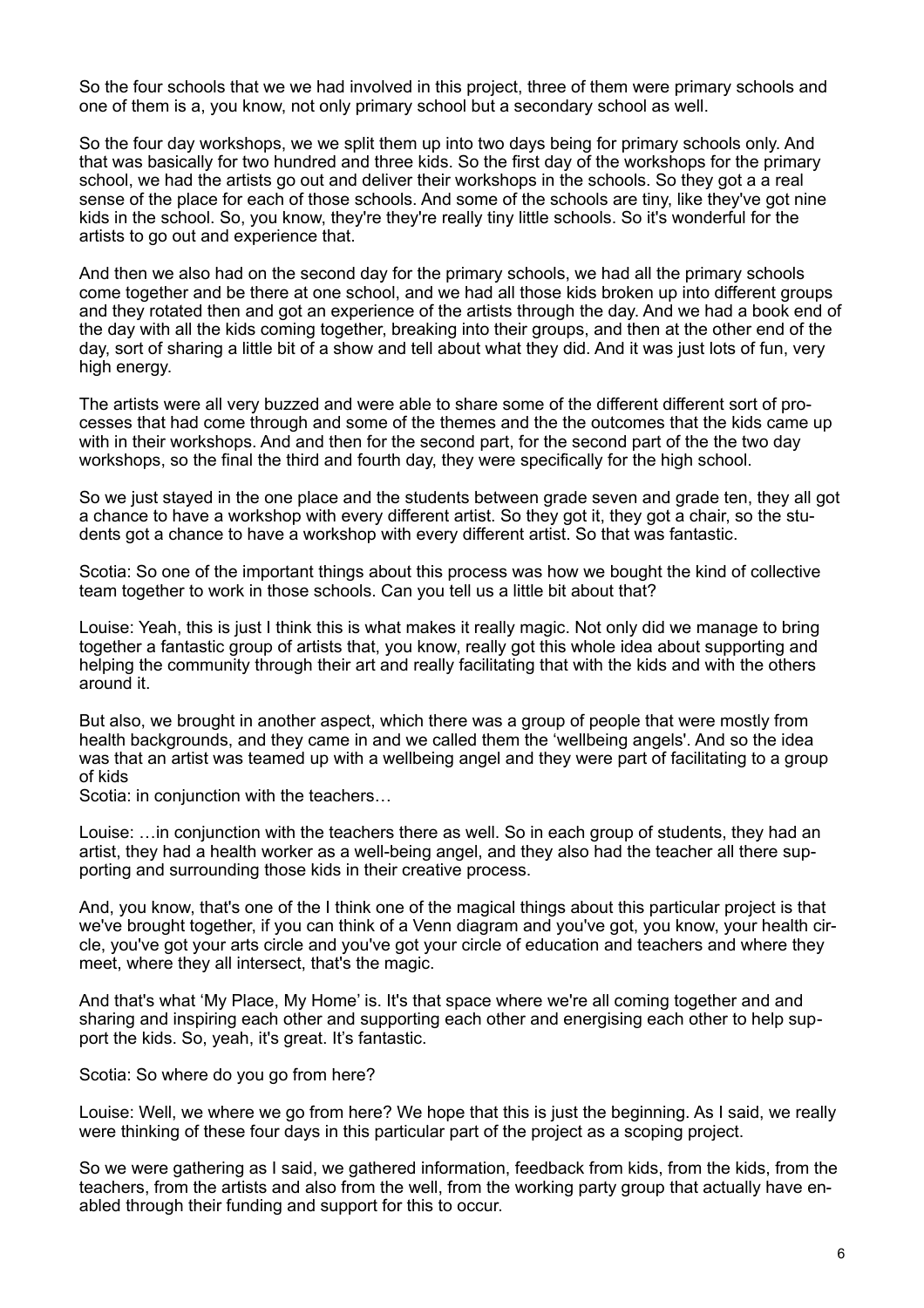So the four schools that we we had involved in this project, three of them were primary schools and one of them is a, you know, not only primary school but a secondary school as well.

So the four day workshops, we we split them up into two days being for primary schools only. And that was basically for two hundred and three kids. So the first day of the workshops for the primary school, we had the artists go out and deliver their workshops in the schools. So they got a a real sense of the place for each of those schools. And some of the schools are tiny, like they've got nine kids in the school. So, you know, they're they're really tiny little schools. So it's wonderful for the artists to go out and experience that.

And then we also had on the second day for the primary schools, we had all the primary schools come together and be there at one school, and we had all those kids broken up into different groups and they rotated then and got an experience of the artists through the day. And we had a book end of the day with all the kids coming together, breaking into their groups, and then at the other end of the day, sort of sharing a little bit of a show and tell about what they did. And it was just lots of fun, very high energy.

The artists were all very buzzed and were able to share some of the different different sort of processes that had come through and some of the themes and the the outcomes that the kids came up with in their workshops. And and then for the second part, for the second part of the the two day workshops, so the final the third and fourth day, they were specifically for the high school.

So we just stayed in the one place and the students between grade seven and grade ten, they all got a chance to have a workshop with every different artist. So they got it, they got a chair, so the students got a chance to have a workshop with every different artist. So that was fantastic.

Scotia: So one of the important things about this process was how we bought the kind of collective team together to work in those schools. Can you tell us a little bit about that?

Louise: Yeah, this is just I think this is what makes it really magic. Not only did we manage to bring together a fantastic group of artists that, you know, really got this whole idea about supporting and helping the community through their art and really facilitating that with the kids and with the others around it.

But also, we brought in another aspect, which there was a group of people that were mostly from health backgrounds, and they came in and we called them the 'wellbeing angels'. And so the idea was that an artist was teamed up with a wellbeing angel and they were part of facilitating to a group of kids

Scotia: in conjunction with the teachers...

Louise: …in conjunction with the teachers there as well. So in each group of students, they had an artist, they had a health worker as a well-being angel, and they also had the teacher all there supporting and surrounding those kids in their creative process.

And, you know, that's one of the I think one of the magical things about this particular project is that we've brought together, if you can think of a Venn diagram and you've got, you know, your health circle, you've got your arts circle and you've got your circle of education and teachers and where they meet, where they all intersect, that's the magic.

And that's what 'My Place, My Home' is. It's that space where we're all coming together and and sharing and inspiring each other and supporting each other and energising each other to help support the kids. So, yeah, it's great. It's fantastic.

Scotia: So where do you go from here?

Louise: Well, we where we go from here? We hope that this is just the beginning. As I said, we really were thinking of these four days in this particular part of the project as a scoping project.

So we were gathering as I said, we gathered information, feedback from kids, from the kids, from the teachers, from the artists and also from the well, from the working party group that actually have enabled through their funding and support for this to occur.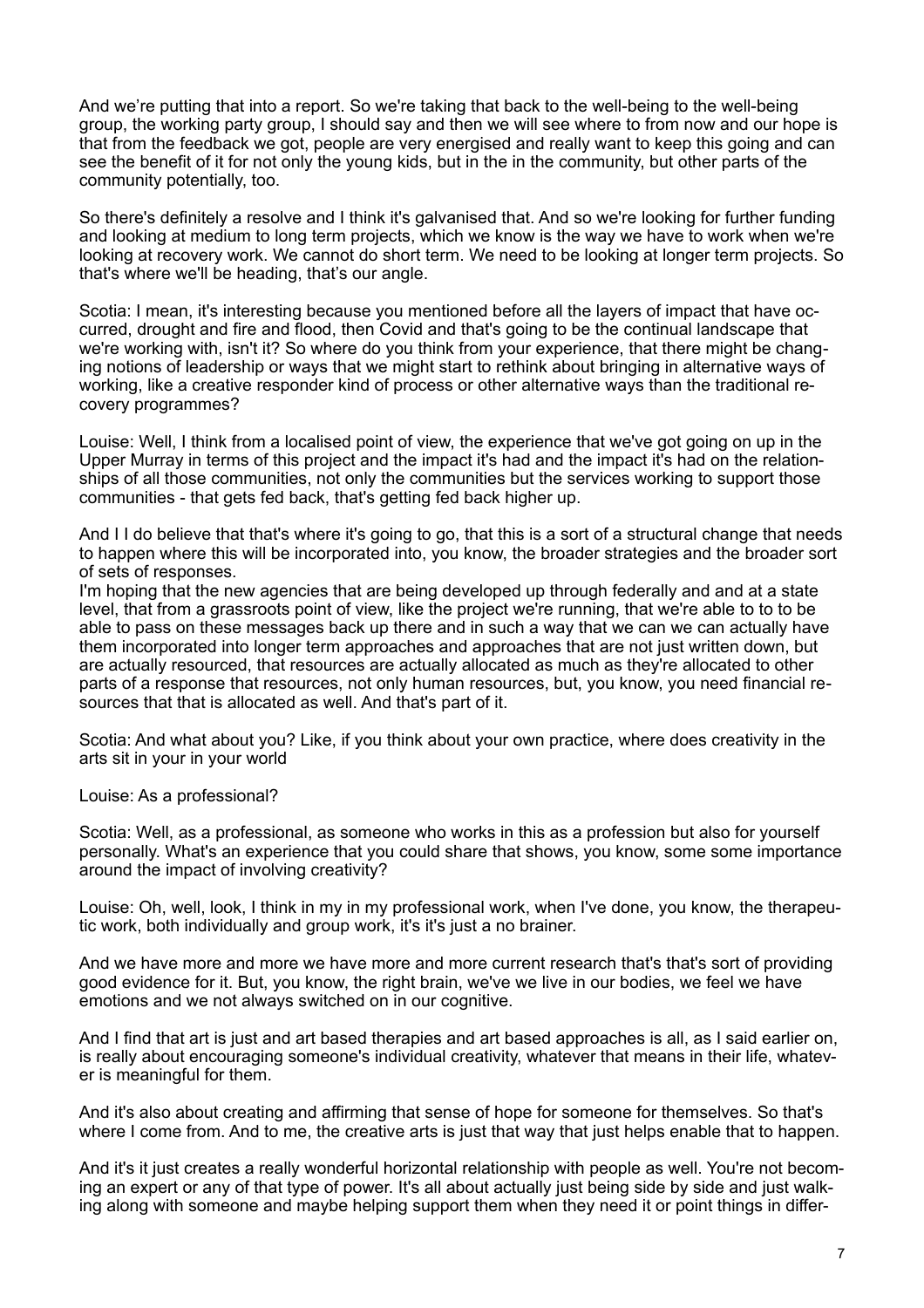And we're putting that into a report. So we're taking that back to the well-being to the well-being group, the working party group, I should say and then we will see where to from now and our hope is that from the feedback we got, people are very energised and really want to keep this going and can see the benefit of it for not only the young kids, but in the in the community, but other parts of the community potentially, too.

So there's definitely a resolve and I think it's galvanised that. And so we're looking for further funding and looking at medium to long term projects, which we know is the way we have to work when we're looking at recovery work. We cannot do short term. We need to be looking at longer term projects. So that's where we'll be heading, that's our angle.

Scotia: I mean, it's interesting because you mentioned before all the layers of impact that have occurred, drought and fire and flood, then Covid and that's going to be the continual landscape that we're working with, isn't it? So where do you think from your experience, that there might be changing notions of leadership or ways that we might start to rethink about bringing in alternative ways of working, like a creative responder kind of process or other alternative ways than the traditional recovery programmes?

Louise: Well, I think from a localised point of view, the experience that we've got going on up in the Upper Murray in terms of this project and the impact it's had and the impact it's had on the relationships of all those communities, not only the communities but the services working to support those communities - that gets fed back, that's getting fed back higher up.

And I I do believe that that's where it's going to go, that this is a sort of a structural change that needs to happen where this will be incorporated into, you know, the broader strategies and the broader sort of sets of responses.

I'm hoping that the new agencies that are being developed up through federally and and at a state level, that from a grassroots point of view, like the project we're running, that we're able to to to be able to pass on these messages back up there and in such a way that we can we can actually have them incorporated into longer term approaches and approaches that are not just written down, but are actually resourced, that resources are actually allocated as much as they're allocated to other parts of a response that resources, not only human resources, but, you know, you need financial resources that that is allocated as well. And that's part of it.

Scotia: And what about you? Like, if you think about your own practice, where does creativity in the arts sit in your in your world

Louise: As a professional?

Scotia: Well, as a professional, as someone who works in this as a profession but also for yourself personally. What's an experience that you could share that shows, you know, some some importance around the impact of involving creativity?

Louise: Oh, well, look, I think in my in my professional work, when I've done, you know, the therapeutic work, both individually and group work, it's it's just a no brainer.

And we have more and more we have more and more current research that's that's sort of providing good evidence for it. But, you know, the right brain, we've we live in our bodies, we feel we have emotions and we not always switched on in our cognitive.

And I find that art is just and art based therapies and art based approaches is all, as I said earlier on, is really about encouraging someone's individual creativity, whatever that means in their life, whatever is meaningful for them.

And it's also about creating and affirming that sense of hope for someone for themselves. So that's where I come from. And to me, the creative arts is just that way that just helps enable that to happen.

And it's it just creates a really wonderful horizontal relationship with people as well. You're not becoming an expert or any of that type of power. It's all about actually just being side by side and just walking along with someone and maybe helping support them when they need it or point things in differ-